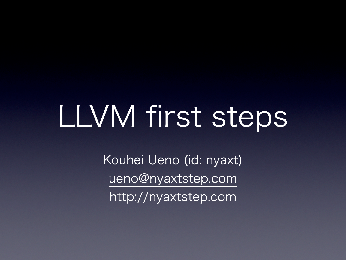### LLVM first steps

Kouhei Ueno (id: nyaxt) [ueno@nyaxtstep.com](mailto:ueno@nyaxtstep.com) http://nyaxtstep.com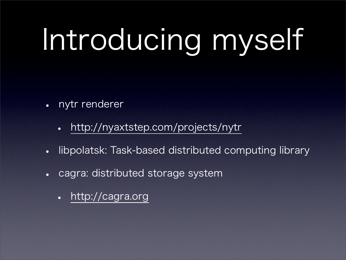# Introducing myself

- nytr renderer
	- <http://nyaxtstep.com/projects/nytr>
- libpolatsk: Task-based distributed computing library
- cagra: distributed storage system
	- <http://cagra.org>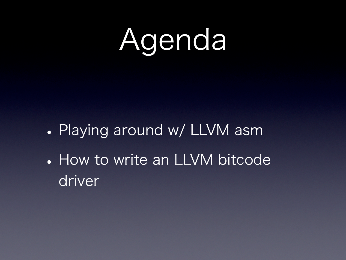## Agenda

- Playing around w/ LLVM asm
- How to write an LLVM bitcode driver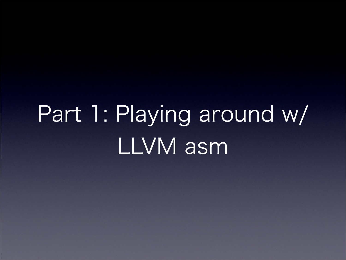### Part 1: Playing around w/ LLVM asm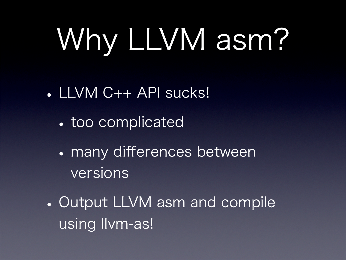# Why LLVM asm?

- LLVM C++ API sucks!
	- too complicated
	- many differences between versions
- Output LLVM asm and compile using llvm-as!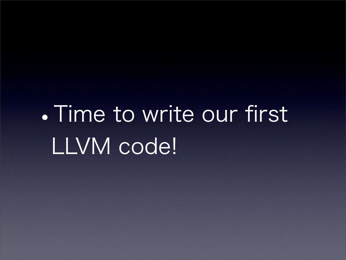### •Time to write our first LLVM code!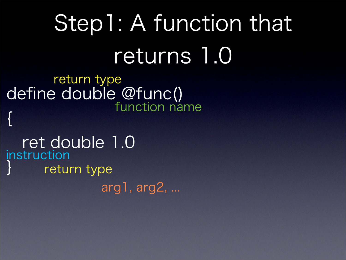### Step1: A function that returns 1.0

define double @func() { ret double 1.0 return type function name

} return type instruction arg1, arg2, ...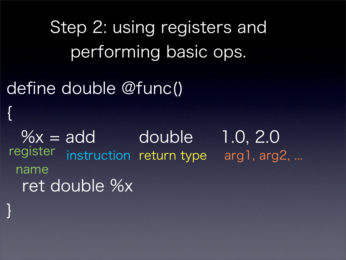```
Step 2: using registers and 
        performing basic ops. 
define double @func()
{
 \%x = add double 1.0, 2.0
   ret double %x
register instruction return type arg1, arg2, ...
 name
```
}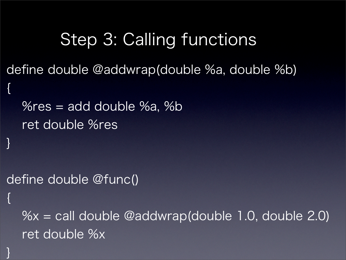Step 3: Calling functions define double @addwrap(double %a, double %b) {  $%res = add double %a, %b$  ret double %res } define double @func() {  $\%x =$  call double @addwrap(double 1.0, double 2.0) ret double %x

}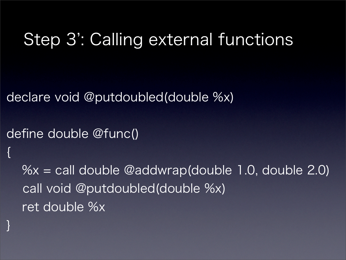#### Step 3': Calling external functions

declare void @putdoubled(double %x)

define double @func()

 $\{$ 

}

 $\%x =$  call double @addwrap(double 1.0, double 2.0) call void @putdoubled(double %x) ret double %x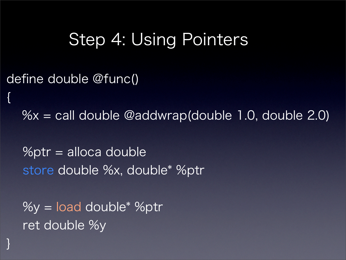#### Step 4: Using Pointers

define double @func()

{

}

 $\%x =$  call double @addwrap(double 1.0, double 2.0)

 %ptr = alloca double store double %x, double\* %ptr

 $\%y = load double^* %ptr$ ret double %y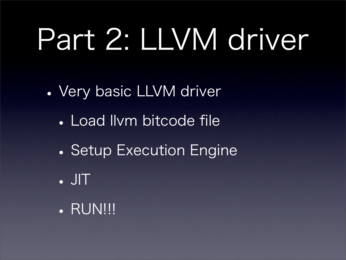## Part 2: LLVM driver

- Very basic LLVM driver
	- Load Ilvm bitcode file
	- Setup Execution Engine
	- JIT
	- · RUN!!!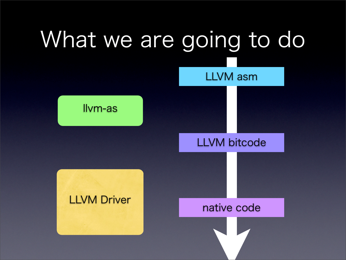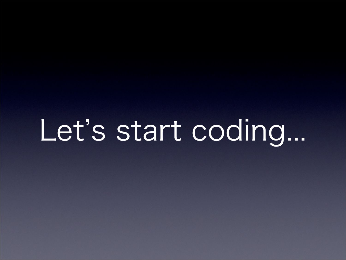Let's start coding...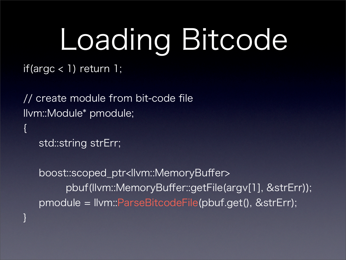# Loading Bitcode

if(argc < 1) return 1;

 // create module from bit-code file llvm::Module\* pmodule;

std::string strErr;

{

}

 boost::scoped\_ptr<llvm::MemoryBuffer> pbuf(llvm::MemoryBuffer::getFile(argv[1], &strErr)); pmodule = llvm::ParseBitcodeFile(pbuf.get(), &strErr);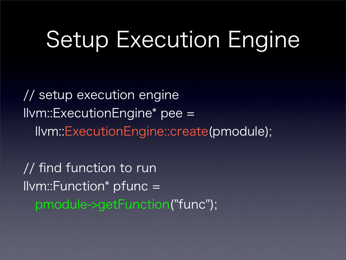### Setup Execution Engine

 // setup execution engine llvm::ExecutionEngine\* pee = llvm::ExecutionEngine::create(pmodule);

 // find function to run llvm::Function\* pfunc = pmodule->getFunction("func");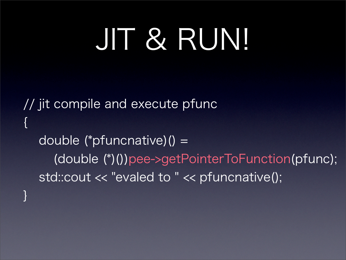## JIT & RUN!

 // jit compile and execute pfunc { double (\*pfuncnative)() = (double (\*)())pee->getPointerToFunction(pfunc); std::cout << "evaled to " << pfuncnative(); }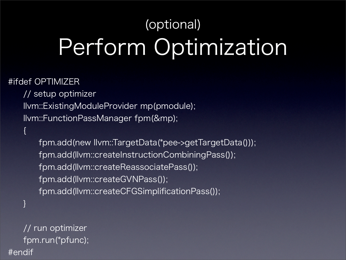### (optional) Perform Optimization

#### #ifdef OPTIMIZER

 $\mathcal{L}$ 

}

 // setup optimizer llvm::ExistingModuleProvider mp(pmodule); llvm::FunctionPassManager fpm(&mp);

 fpm.add(new llvm::TargetData(\*pee->getTargetData())); fpm.add(llvm::createInstructionCombiningPass()); fpm.add(llvm::createReassociatePass()); fpm.add(llvm::createGVNPass()); fpm.add(llvm::createCFGSimplificationPass());

 // run optimizer fpm.run(\*pfunc); #endif